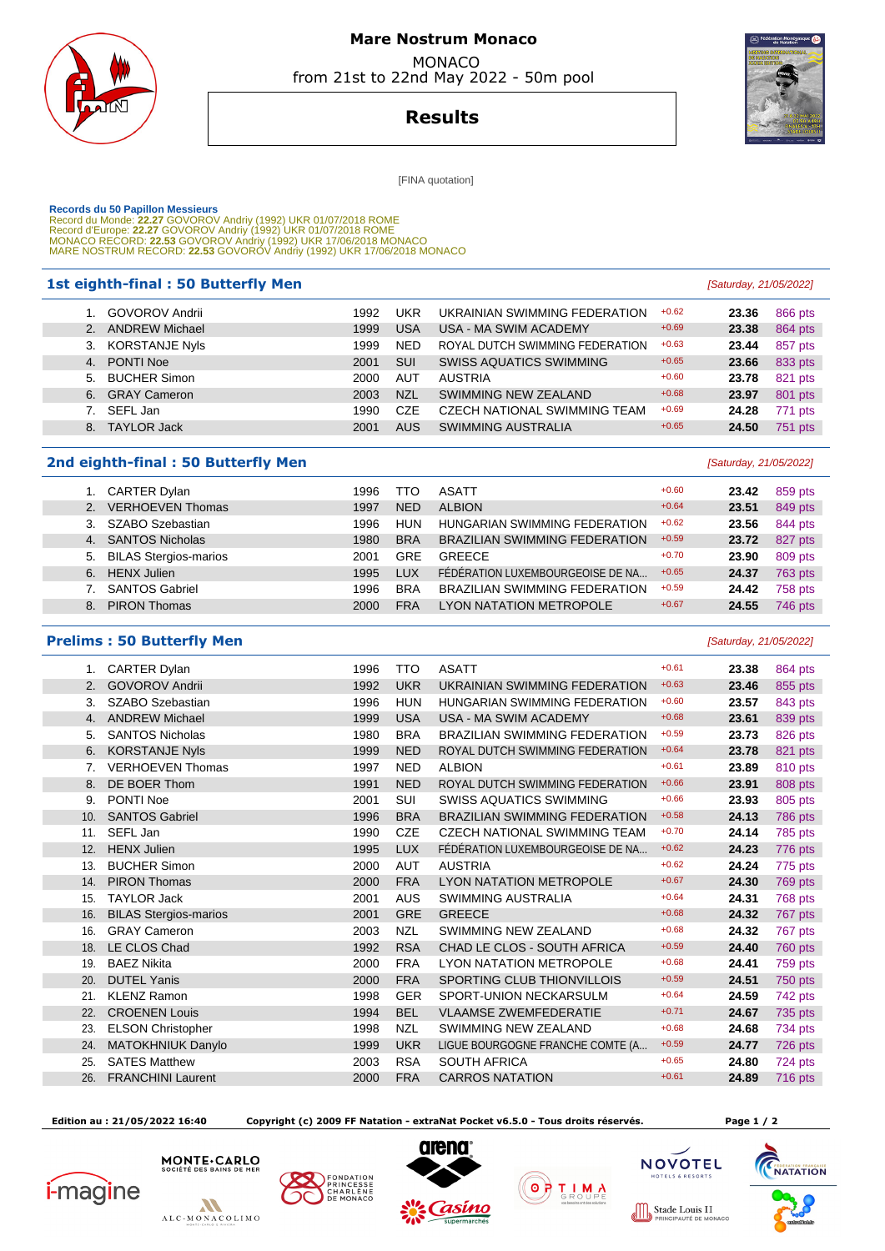

## **Mare Nostrum Monaco**  MONACO

from 21st to 22nd May 2022 - 50m pool



**Results**

[FINA quotation]

 **Records du 50 Papillon Messieurs**  Record du Monde: **22.27** GOVOROV Andriy (1992) UKR 01/07/2018 ROME Record d'Europe: **22.27** GOVOROV Andriy (1992) UKR 01/07/2018 ROME MONACO RECORD: **22.53** GOVOROV Andriy (1992) UKR 17/06/2018 MONACO MARE NOSTRUM RECORD: **22.53** GOVOROV Andriy (1992) UKR 17/06/2018 MONACO

#### **1st eighth-final : 50 Butterfly Men Example 21 Constant Constant Constant Constant Constant Constant Constant Constant Constant Constant Constant Constant Constant Constant Constant Constant Constant Constant Constant**

|  | 1. GOVOROV Andrii | 1992 | UKR        | UKRAINIAN SWIMMING FEDERATION   | $+0.62$ | 23.36 | 866 pts |
|--|-------------------|------|------------|---------------------------------|---------|-------|---------|
|  | 2. ANDREW Michael | 1999 | <b>USA</b> | USA - MA SWIM ACADEMY           | $+0.69$ | 23.38 | 864 pts |
|  | 3. KORSTANJE Nyls | 1999 | <b>NED</b> | ROYAL DUTCH SWIMMING FEDERATION | $+0.63$ | 23.44 | 857 pts |
|  | 4. PONTI Noe      | 2001 | <b>SUI</b> | <b>SWISS AQUATICS SWIMMING</b>  | $+0.65$ | 23.66 | 833 pts |
|  | 5. BUCHER Simon   | 2000 | AUT        | <b>AUSTRIA</b>                  | $+0.60$ | 23.78 | 821 pts |
|  | 6. GRAY Cameron   | 2003 | <b>NZL</b> | SWIMMING NEW ZEALAND            | $+0.68$ | 23.97 | 801 pts |
|  | 7. SEFL Jan       | 1990 | CZE        | CZECH NATIONAL SWIMMING TEAM    | $+0.69$ | 24.28 | 771 pts |
|  | 8. TAYLOR Jack    | 2001 | <b>AUS</b> | <b>SWIMMING AUSTRALIA</b>       | $+0.65$ | 24.50 | 751 pts |
|  |                   |      |            |                                 |         |       |         |

## **2nd eighth-final : 50 Butterfly Men Example 2nd eighth-final : 50 Butterfly Men**

|                | <b>CARTER Dylan</b>          | 1996 | TTO        | <b>ASATT</b>                         | $+0.60$ | 23.42 | 859 pts |
|----------------|------------------------------|------|------------|--------------------------------------|---------|-------|---------|
| 2 <sub>1</sub> | <b>VERHOEVEN Thomas</b>      | 1997 | <b>NED</b> | <b>ALBION</b>                        | $+0.64$ | 23.51 | 849 pts |
|                | SZABO Szebastian             | 1996 | <b>HUN</b> | HUNGARIAN SWIMMING FEDERATION        | $+0.62$ | 23.56 | 844 pts |
| 4.             | <b>SANTOS Nicholas</b>       | 1980 | <b>BRA</b> | <b>BRAZILIAN SWIMMING FEDERATION</b> | $+0.59$ | 23.72 | 827 pts |
| 5.             | <b>BILAS Stergios-marios</b> | 2001 | <b>GRE</b> | <b>GREECE</b>                        | $+0.70$ | 23.90 | 809 pts |
| 6.             | <b>HENX Julien</b>           | 1995 | LUX        | FÉDÉRATION LUXEMBOURGEOISE DE NA     | $+0.65$ | 24.37 | 763 pts |
|                | <b>SANTOS Gabriel</b>        | 1996 | <b>BRA</b> | <b>BRAZILIAN SWIMMING FEDERATION</b> | $+0.59$ | 24.42 | 758 pts |
| 8.             | <b>PIRON Thomas</b>          | 2000 | <b>FRA</b> | LYON NATATION METROPOLE              | $+0.67$ | 24.55 | 746 pts |

## **Prelims : 50 Butterfly Men Example 2018 Calcular 21/05/2022 Caturday**, 21/05/2022]

 1. CARTER Dylan 1996 TTO ASATT +0.61 **23.38** 864 pts 2. GOVOROV Andrii 1992 UKR UKRAINIAN SWIMMING FEDERATION +0.63 23.46 855 pts 3. SZABO Szebastian 1996 HUN HUNGARIAN SWIMMING FEDERATION +0.60 **23.57** 843 pts 4. ANDREW Michael **1999** USA USA - MA SWIM ACADEMY +0.68 **23.61 23.61** 839 pts 5. SANTOS Nicholas 1980 BRA BRAZILIAN SWIMMING FEDERATION +0.59 **23.73** 826 pts 6. KORSTANJE Nyls 1999 NED ROYAL DUTCH SWIMMING FEDERATION +0.64 **23.78** 821 pts 7. VERHOEVEN Thomas **1997 NED ALBION** +0.61 **23.89** 810 pts 8. DE BOER Thom 1991 NED ROYAL DUTCH SWIMMING FEDERATION +0.66 **23.91** 808 pts 9. PONTI Noe 2001 SUI SWISS AQUATICS SWIMMING +0.66 **23.93** 805 pts 10. SANTOS Gabriel 1996 BRA BRAZILIAN SWIMMING FEDERATION +0.58 **24.13** 786 pts 11. SEFL Jan 1990 CZE CZECH NATIONAL SWIMMING TEAM +0.70 **24.14** 785 pts 12. HENX Julien 1995 LUX FÉDÉRATION LUXEMBOURGEOISE DE NA... +0.62 **24.23** 776 pts 13. BUCHER Simon **2000 AUT AUSTRIA** +0.62 **24.24** 775 pts 14. PIRON Thomas 2000 FRA LYON NATATION METROPOLE +0.67 **24.30** 769 pts 15. TAYLOR Jack 2001 AUS SWIMMING AUSTRALIA +0.64 **24.31** 768 pts 16. BILAS Stergios-marios 2001 GRE GREECE +0.68 **24.32** 767 pts 16. GRAY Cameron **2003 NZL SWIMMING NEW ZEALAND** +0.68 **24.32** 767 pts 18. LE CLOS Chad 1992 RSA CHAD LE CLOS - SOUTH AFRICA +0.59 **24.40** 760 pts 19. BAEZ Nikita 2000 FRA LYON NATATION METROPOLE +0.68 **24.41** 759 pts 20. DUTEL Yanis 2000 FRA SPORTING CLUB THIONVILLOIS +0.59 **24.51** 750 pts 21. KLENZ Ramon 1998 GER SPORT-UNION NECKARSULM +0.64 **24.59** 742 pts 22. CROENEN Louis 1994 BEL VLAAMSE ZWEMFEDERATIE +0.71 **24.67** 735 pts 23. ELSON Christopher **1998** NZL SWIMMING NEW ZEALAND  $+0.68$  **24.68** 734 pts 24. MATOKHNIUK Danylo 1999 UKR LIGUE BOURGOGNE FRANCHE COMTE (A... +0.59 **24.77** 726 pts 25. SATES Matthew **2003 RSA SOUTH AFRICA** +0.65 **24.80** 724 pts 26. FRANCHINI Laurent 2000 FRA CARROS NATATION +0.61 **24.89** 716 pts

 **Edition au : 21/05/2022 16:40 Copyright (c) 2009 FF Natation - extraNat Pocket v6.5.0 - Tous droits réservés. Page 1 / 2**